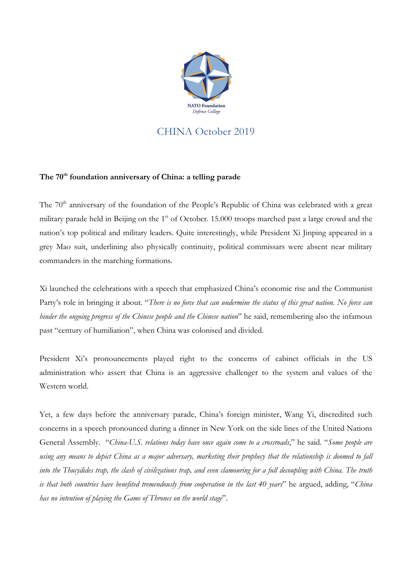

## CHINA October 2019

## **The 70th foundation anniversary of China: a telling parade**

The 70<sup>th</sup> anniversary of the foundation of the People's Republic of China was celebrated with a great military parade held in Beijing on the 1<sup>st</sup> of October. 15.000 troops marched past a large crowd and the nation's top political and military leaders. Quite interestingly, while President Xi Jinping appeared in a grey Mao suit, underlining also physically continuity, political commissars were absent near military commanders in the marching formations.

Xi launched the celebrations with a speech that emphasized China's economic rise and the Communist Party's role in bringing it about. "*There is no force that can undermine the status of this great nation. No force can hinder the ongoing progress of the Chinese people and the Chinese nation*" he said, remembering also the infamous past "century of humiliation", when China was colonised and divided.

President Xi's pronouncements played right to the concerns of cabinet officials in the US administration who assert that China is an aggressive challenger to the system and values of the Western world.

Yet, a few days before the anniversary parade, China's foreign minister, Wang Yi, discredited such concerns in a speech pronounced during a dinner in New York on the side lines of the United Nations General Assembly. "*China-U.S. relations today have once again come to a crossroads*," he said. "*Some people are using any means to depict China as a major adversary, marketing their prophecy that the relationship is doomed to fall into the Thucydides trap, the clash of civilizations trap, and even clamouring for a full decoupling with China. The truth is that both countries have benefited tremendously from cooperation in the last 40 years*" he argued, adding, "*China has no intention of playing the Game of Thrones on the world stage*".